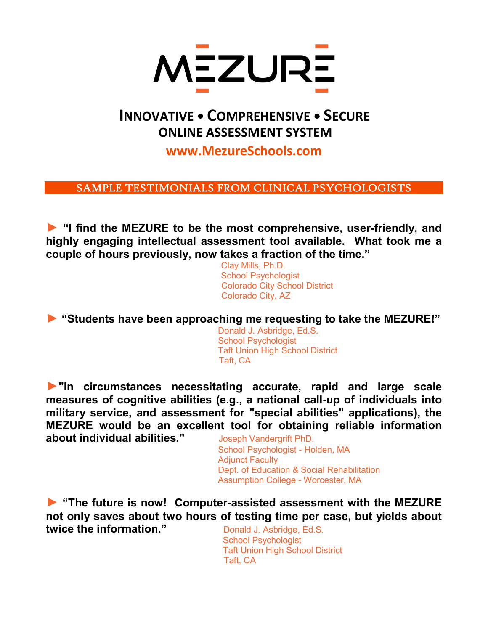

## **INNOVATIVE • COMPREHENSIVE • SECURE ONLINE ASSESSMENT SYSTEM**

**www.MezureSchools.com**

SAMPLE TESTIMONIALS FROM CLINICAL PSYCHOLOGISTS

**► "I find the MEZURE to be the most comprehensive, user-friendly, and highly engaging intellectual assessment tool available. What took me a couple of hours previously, now takes a fraction of the time."**

Clay Mills, Ph.D. School Psychologist Colorado City School District Colorado City, AZ

► **"Students have been approaching me requesting to take the MEZURE!"**<br>Donald J. Asbridge, Ed.S.

 School Psychologist Taft Union High School District Taft, CA

**►"In circumstances necessitating accurate, rapid and large scale measures of cognitive abilities (e.g., a national call-up of individuals into military service, and assessment for "special abilities" applications), the MEZURE would be an excellent tool for obtaining reliable information about individual abilities."** Joseph Vandergrift PhD.

School Psychologist - Holden, MA Adjunct Faculty Dept. of Education & Social Rehabilitation Assumption College - Worcester, MA

**► "The future is now! Computer-assisted assessment with the MEZURE not only saves about two hours of testing time per case, but yields about twice the information."** Donald J. Asbridge, Ed.S.

 School Psychologist Taft Union High School District Taft, CA